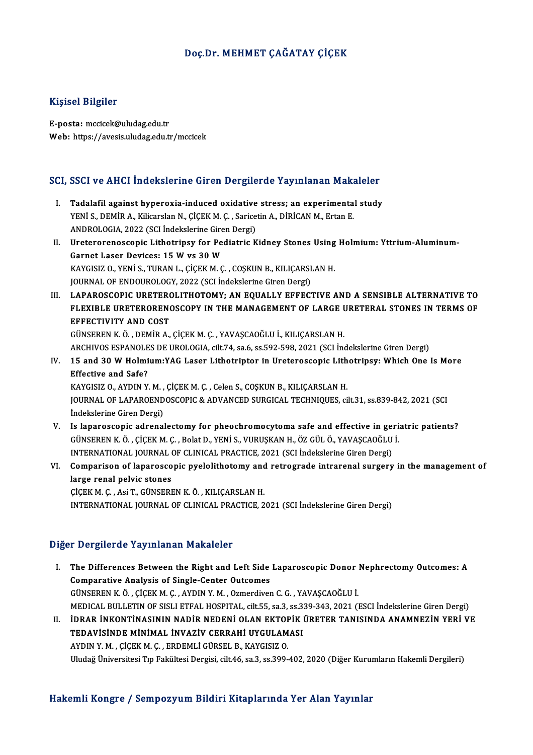### Doç.Dr.MEHMET ÇAĞATAY ÇİÇEK

#### Kişisel Bilgiler

E-posta:mccicek@uludag.edu.tr Web: https://avesis.uludag.edu.tr/mccicek

# SCI, SSCI ve AHCI İndekslerine Giren Dergilerde Yayınlanan Makaleler<br>SCI, SSCI ve AHCI İndekslerine Giren Dergilerde Yayınlanan Makaleler

- CI, SSCI ve AHCI İndekslerine Giren Dergilerde Yayınlanan Makaleler<br>I. Tadalafil against hyperoxia-induced oxidative stress; an experimental study<br>VENIS DEMIR A Kilisarelan N. CİCEKM G. Sarisatin A DİRİCANM Ertan E I. Tadalafil against hyperoxia-induced oxidative stress; an experimental study YENİ S., DEMİR A., Kilicarslan N., ÇİÇEKM.Ç. , Saricetin A., DİRİCANM., Ertan E. Tadalafil against hyperoxia-induced oxidative<br>YENİ S., DEMİR A., Kilicarslan N., ÇİÇEK M. Ç. , Sarice<br>ANDROLOGIA, 2022 (SCI İndekslerine Giren Dergi)<br>Uratararanassanis Lithatriney far Badiatris K YENİ S., DEMİR A., Kilicarslan N., ÇİÇEK M. Ç. , Saricetin A., DİRİCAN M., Ertan E.<br>ANDROLOGIA, 2022 (SCI İndekslerine Giren Dergi)<br>II. Ureterorenoscopic Lithotripsy for Pediatric Kidney Stones Using Holmium: Yttrium-Alumi ANDROLOGIA, 2022 (SCI İndekslerine Gire<br>Ureterorenoscopic Lithotripsy for Peq<br>Garnet Laser Devices: 15 W vs 30 W<br>KAVCISIZ O, VENİ S, TUPAN L, CİCEK M G Ureterorenoscopic Lithotripsy for Pediatric Kidney Stones Using<br>Garnet Laser Devices: 15 W vs 30 W<br>KAYGISIZ O., YENİ S., TURAN L., ÇİÇEK M. Ç. , COŞKUN B., KILIÇARSLAN H.<br>JOUPMAL OE ENDOUPOLOCY, 2022 (SCLİndekalerine Giren Garnet Laser Devices: 15 W vs 30 W<br>KAYGISIZ 0., YENİ S., TURAN L., ÇİÇEK M. Ç. , COŞKUN B., KILIÇARSLAN H.<br>JOURNAL OF ENDOUROLOGY, 2022 (SCI İndekslerine Giren Dergi) KAYGISIZ O., YENİ S., TURAN L., ÇİÇEK M. Ç. , COŞKUN B., KILIÇARSLAN H.<br>JOURNAL OF ENDOUROLOGY, 2022 (SCI İndekslerine Giren Dergi)<br>III. LAPAROSCOPIC URETEROLITHOTOMY; AN EQUALLY EFFECTIVE AND A SENSIBLE ALTERNATIVE TO<br>ELE JOURNAL OF ENDOUROLOGY, 2022 (SCI İndekslerine Giren Dergi)<br>LAPAROSCOPIC URETEROLITHOTOMY; AN EQUALLY EFFECTIVE AND A SENSIBLE ALTERNATIVE TO<br>FLEXIBLE URETERORENOSCOPY IN THE MANAGEMENT OF LARGE URETERAL STONES IN TERMS OF FLEXIBLE URETERORENOSCOPY IN THE MANAGEMENT OF LARGE URETERAL STONES IN TERMS OF EFFECTIVITY AND COST GÜNSERENK.Ö. ,DEMİRA.,ÇİÇEKM.Ç. ,YAVAŞCAOĞLUİ.,KILIÇARSLANH. EFFECTIVITY AND COST<br>GÜNSEREN K. Ö. , DEMİR A., ÇİÇEK M. Ç. , YAVAŞCAOĞLU İ., KILIÇARSLAN H.<br>ARCHIVOS ESPANOLES DE UROLOGIA, cilt.74, sa.6, ss.592-598, 2021 (SCI İndekslerine Giren Dergi)<br>15 and 30 W Halmium:YAC Lasar Lith GÜNSEREN K. Ö. , DEMİR A., ÇİÇEK M. Ç. , YAVAŞCAOĞLU İ., KILIÇARSLAN H.<br>ARCHIVOS ESPANOLES DE UROLOGIA, cilt.74, sa.6, ss.592-598, 2021 (SCI İndekslerine Giren Dergi)<br>IV. 15 and 30 W Holmium:YAG Laser Lithotriptor in U ARCHIVOS ESPANOLE<br>15 and 30 W Holmi<br>Effective and Safe?<br>*VANCISIZ* O AVDIN V 15 and 30 W Holmium:YAG Laser Lithotriptor in Ureteroscopic Lith<br>Effective and Safe?<br>KAYGISIZ O., AYDIN Y. M. , ÇİÇEK M. Ç. , Celen S., COŞKUN B., KILIÇARSLAN H.<br>JOUPNAL OE LABAROENDOSCOPIC & ADVANCED SURCICAL TECHNIQUES. Effective and Safe?<br>KAYGISIZ O., AYDIN Y. M. , ÇİÇEK M. Ç. , Celen S., COŞKUN B., KILIÇARSLAN H.<br>JOURNAL OF LAPAROENDOSCOPIC & ADVANCED SURGICAL TECHNIQUES, cilt.31, ss.839-842, 2021 (SCI<br>İndekslerine Giren Dergi) KAYGISIZ O., AYDIN Y. M., ÇİÇEK M. Ç., Celen S., COŞKUN B., KILIÇARSLAN H. JOURNAL OF LAPAROENDOSCOPIC & ADVANCED SURGICAL TECHNIQUES, cilt.31, ss.839-842, 2021 (SCI<br>Indekslerine Giren Dergi)<br>V. Is laparoscopic adrenalectomy for pheochromocytoma safe and effective in geriatric patients?<br>CUNSEPEN İndekslerine Giren Dergi)<br>Is laparoscopic adrenalectomy for pheochromocytoma safe and effective in geri<br>GÜNSEREN K.Ö., ÇİÇEK M. Ç., Bolat D., YENİ S., VURUŞKAN H., ÖZ GÜL Ö., YAVAŞCAOĞLU İ.<br>INTERNATIONAL JOURNAL OE GLINICA Is laparoscopic adrenalectomy for pheochromocytoma safe and effective in gen<br>GÜNSEREN K. Ö. , ÇİÇEK M. Ç. , Bolat D., YENİ S., VURUŞKAN H., ÖZ GÜL Ö., YAVAŞCAOĞLU<br>INTERNATIONAL JOURNAL OF CLINICAL PRACTICE, 2021 (SCI İndek GÜNSEREN K. Ö. , ÇİÇEK M. Ç. , Bolat D., YENİ S., VURUŞKAN H., ÖZ GÜL Ö., YAVAŞCAOĞLU İ.<br>INTERNATIONAL JOURNAL OF CLINICAL PRACTICE, 2021 (SCI İndekslerine Giren Dergi)<br>VI. Comparison of laparoscopic pyelolithotomy and
- INTERNATIONAL JOURNAL OF CLINICAL PRACTICE, 2021 (SCI İndekslerine Giren Dergi)<br>Comparison of laparoscopic pyelolithotomy and retrograde intrarenal surgery<br>large renal pelvic stones<br>CICEK M. C., Asi T., GÜNSEREN K. Ö., KIL Comparison of laparoscopic pyelolithotomy and<br>large renal pelvic stones<br>ÇİÇEKM.Ç., Asi T., GÜNSEREN K.Ö., KILIÇARSLAN H.<br>INTERNATIONAL JOURNAL OF CLINIÇAL PRACTICE 2 INTERNATIONAL JOURNALOF CLINICAL PRACTICE,2021 (SCI İndekslerineGirenDergi)

#### Diğer Dergilerde Yayınlanan Makaleler

Iger Dergilerde Yayınlanan Makaleler<br>I. The Differences Between the Right and Left Side Laparoscopic Donor Nephrectomy Outcomes: A The Differences Between the Right and Left Side<br>Comparative Analysis of Single-Center Outcomes<br>CUNSEREN K Ö, CICEK M C, AVDIN V M, Ozmerdiver Comparative Analysis of Single-Center Outcomes<br>GÜNSEREN K.Ö., ÇİÇEK M.Ç., AYDIN Y.M., Ozmerdiven C.G., YAVAŞCAOĞLU İ. Comparative Analysis of Single-Center Outcomes<br>GÜNSEREN K. Ö. , ÇİÇEK M. Ç. , AYDIN Y. M. , Ozmerdiven C. G. , YAVAŞCAOĞLU İ.<br>MEDICAL BULLETIN OF SISLI ETFAL HOSPITAL, cilt.55, sa.3, ss.339-343, 2021 (ESCI İndekslerine Gir GÜNSEREN K. Ö. , ÇİÇEK M. Ç. , AYDIN Y. M. , Ozmerdiven C. G. , YAVAŞCAOĞLU İ.<br>MEDICAL BULLETIN OF SISLI ETFAL HOSPITAL, cilt.55, sa.3, ss.339-343, 2021 (ESCI İndekslerine Giren Dergi)<br>II. İDRAR İNKONTİNASININ NADİR NE MEDICAL BULLETIN OF SISLI ETFAL HOSPITAL, cilt55, sa.3, ss.3.<br>İDRAR İNKONTİNASININ NADİR NEDENİ OLAN EKTOPİK<br>TEDAVİSİNDE MİNİMAL İNVAZİV CERRAHİ UYGULAMASI<br>AYDIN V.M., CİCEK M.C., EPDEMI İ CÜBSEL B. KAYCISIZ O İDRAR İNKONTİNASININ NADİR NEDENİ OLAN EKTOF<br>TEDAVİSİNDE MİNİMAL İNVAZİV CERRAHİ UYGULAM<br>AYDIN Y. M. , ÇİÇEK M. Ç. , ERDEMLİ GÜRSEL B., KAYGISIZ O.<br>Uludağ Üniversitesi Tın Feltültesi Dergisi silt 46, sa 2, sa 200

AYDIN Y. M. , ÇİÇEK M. Ç. , ERDEMLİ GÜRSEL B., KAYGISIZ O.<br>Uludağ Üniversitesi Tıp Fakültesi Dergisi, cilt.46, sa.3, ss.399-402, 2020 (Diğer Kurumların Hakemli Dergileri)

#### Hakemli Kongre / Sempozyum Bildiri Kitaplarında Yer Alan Yayınlar